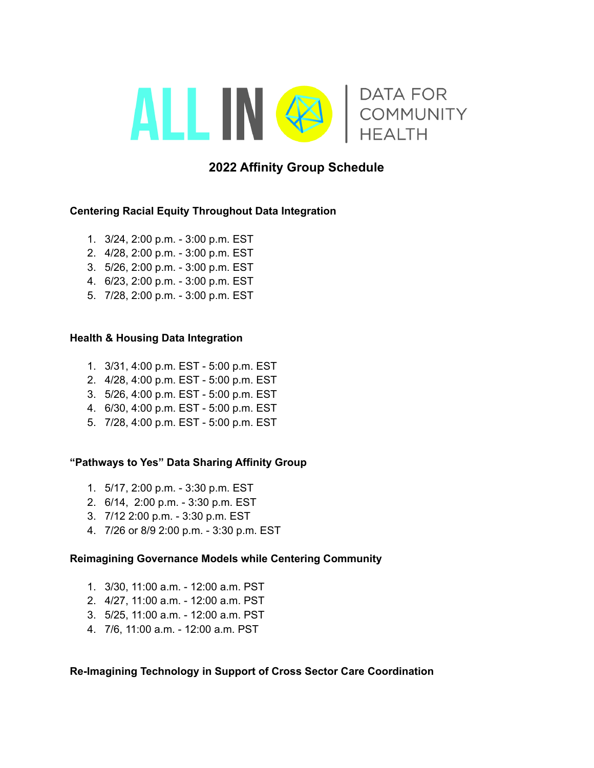

# **2022 Affinity Group Schedule**

## **Centering Racial Equity Throughout Data Integration**

- 1. 3/24, 2:00 p.m. 3:00 p.m. EST
- 2. 4/28, 2:00 p.m. 3:00 p.m. EST
- 3. 5/26, 2:00 p.m. 3:00 p.m. EST
- 4. 6/23, 2:00 p.m. 3:00 p.m. EST
- 5. 7/28, 2:00 p.m. 3:00 p.m. EST

#### **Health & Housing Data Integration**

- 1. 3/31, 4:00 p.m. EST 5:00 p.m. EST
- 2. 4/28, 4:00 p.m. EST 5:00 p.m. EST
- 3. 5/26, 4:00 p.m. EST 5:00 p.m. EST
- 4. 6/30, 4:00 p.m. EST 5:00 p.m. EST
- 5. 7/28, 4:00 p.m. EST 5:00 p.m. EST

## **"Pathways to Yes" Data Sharing Affinity Group**

- 1. 5/17, 2:00 p.m. 3:30 p.m. EST
- 2. 6/14, 2:00 p.m. 3:30 p.m. EST
- 3. 7/12 2:00 p.m. 3:30 p.m. EST
- 4. 7/26 or 8/9 2:00 p.m. 3:30 p.m. EST

#### **Reimagining Governance Models while Centering Community**

- 1. 3/30, 11:00 a.m. 12:00 a.m. PST
- 2. 4/27, 11:00 a.m. 12:00 a.m. PST
- 3. 5/25, 11:00 a.m. 12:00 a.m. PST
- 4. 7/6, 11:00 a.m. 12:00 a.m. PST

## **Re-Imagining Technology in Support of Cross Sector Care Coordination**